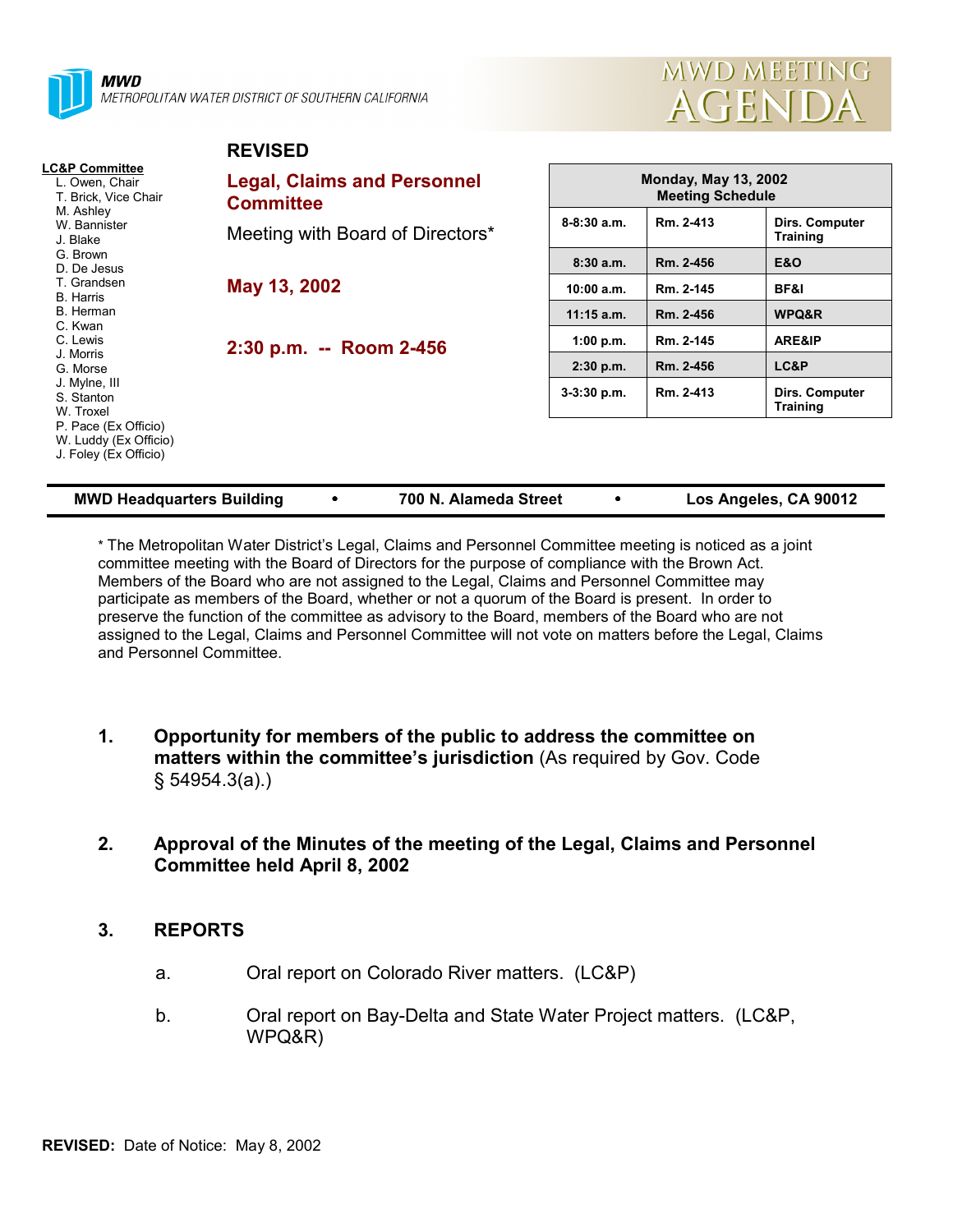

MWD METROPOLITAN WATER DISTRICT OF SOUTHERN CALIFORNIA

**REVISED**



|                                                                                                              | REVISED                                                |                                                        |           |                                   |  |
|--------------------------------------------------------------------------------------------------------------|--------------------------------------------------------|--------------------------------------------------------|-----------|-----------------------------------|--|
| <b>LC&amp;P Committee</b><br>L. Owen, Chair<br>T. Brick, Vice Chair<br>M. Ashley<br>W. Bannister<br>J. Blake | <b>Legal, Claims and Personnel</b><br><b>Committee</b> | <b>Monday, May 13, 2002</b><br><b>Meeting Schedule</b> |           |                                   |  |
|                                                                                                              | Meeting with Board of Directors*                       | $8-8:30$ a.m.                                          | Rm. 2-413 | Dirs. Computer<br><b>Training</b> |  |
| G. Brown<br>D. De Jesus                                                                                      |                                                        | 8:30a.m.                                               | Rm. 2-456 | <b>E&amp;O</b>                    |  |
| T. Grandsen<br><b>B.</b> Harris                                                                              | May 13, 2002                                           | 10:00 a.m.                                             | Rm. 2-145 | BF&I                              |  |
| B. Herman                                                                                                    |                                                        | $11:15$ a.m.                                           | Rm. 2-456 | <b>WPQ&amp;R</b>                  |  |
| C. Kwan<br>C. Lewis<br>J. Morris<br>G. Morse                                                                 | 2:30 p.m. -- Room 2-456                                | 1:00 p.m.                                              | Rm. 2-145 | ARE&IP                            |  |
|                                                                                                              |                                                        | $2:30$ p.m.                                            | Rm. 2-456 | LC&P                              |  |
| J. Mylne, III<br>S. Stanton<br>W. Troxel                                                                     |                                                        | $3-3:30$ p.m.                                          | Rm. 2-413 | Dirs. Computer<br><b>Training</b> |  |
| P. Pace (Ex Officio)<br>W. Luddy (Ex Officio)<br>J. Foley (Ex Officio)                                       |                                                        |                                                        |           |                                   |  |

| <b>MWD Headquarters Building</b> |  | 700 N. Alameda Street |  | Los Angeles, CA 90012 |
|----------------------------------|--|-----------------------|--|-----------------------|
|----------------------------------|--|-----------------------|--|-----------------------|

\* The Metropolitan Water District's Legal, Claims and Personnel Committee meeting is noticed as a joint committee meeting with the Board of Directors for the purpose of compliance with the Brown Act. Members of the Board who are not assigned to the Legal, Claims and Personnel Committee may participate as members of the Board, whether or not a quorum of the Board is present. In order to preserve the function of the committee as advisory to the Board, members of the Board who are not assigned to the Legal, Claims and Personnel Committee will not vote on matters before the Legal, Claims and Personnel Committee.

- **1. Opportunity for members of the public to address the committee on matters within the committee's jurisdiction** (As required by Gov. Code § 54954.3(a).)
- **2. Approval of the Minutes of the meeting of the Legal, Claims and Personnel Committee held April 8, 2002**

# **3. REPORTS**

- a. Oral report on Colorado River matters. (LC&P)
- b. Oral report on Bay-Delta and State Water Project matters. (LC&P, WPQ&R)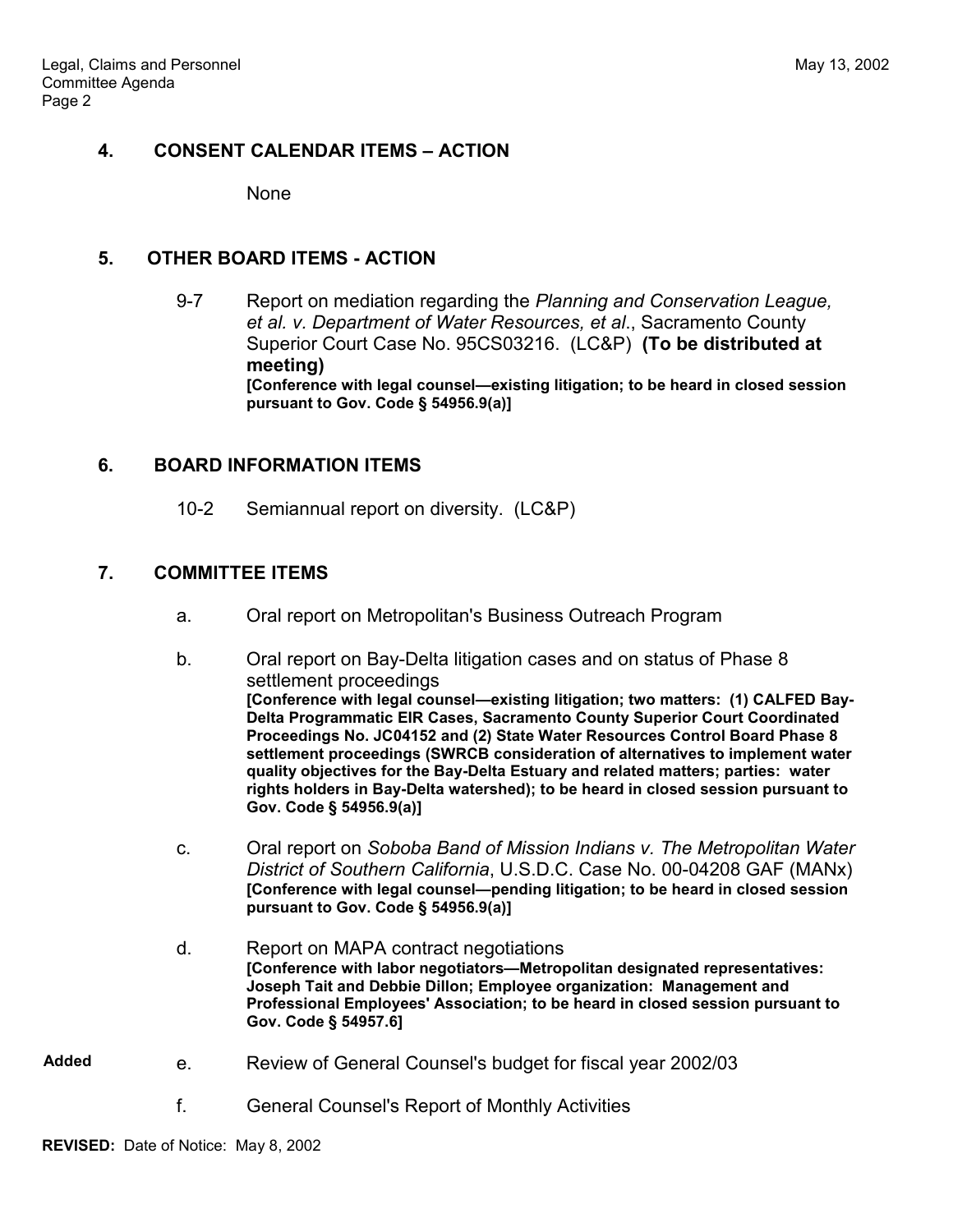# **4. CONSENT CALENDAR ITEMS – ACTION**

None

#### **5. OTHER BOARD ITEMS - ACTION**

9-7 Report on mediation regarding the *Planning and Conservation League, et al. v. Department of Water Resources, et al*., Sacramento County Superior Court Case No. 95CS03216. (LC&P) **(To be distributed at meeting) [Conference with legal counsel—existing litigation; to be heard in closed session pursuant to Gov. Code § 54956.9(a)]**

# **6. BOARD INFORMATION ITEMS**

10-2 Semiannual report on diversity. (LC&P)

# **7. COMMITTEE ITEMS**

- a. Oral report on Metropolitan's Business Outreach Program
- b. Oral report on Bay-Delta litigation cases and on status of Phase 8 settlement proceedings **[Conference with legal counsel—existing litigation; two matters: (1) CALFED Bay-Delta Programmatic EIR Cases, Sacramento County Superior Court Coordinated Proceedings No. JC04152 and (2) State Water Resources Control Board Phase 8 settlement proceedings (SWRCB consideration of alternatives to implement water quality objectives for the Bay-Delta Estuary and related matters; parties: water rights holders in Bay-Delta watershed); to be heard in closed session pursuant to Gov. Code § 54956.9(a)]**
- c. Oral report on *Soboba Band of Mission Indians v. The Metropolitan Water District of Southern California*, U.S.D.C. Case No. 00-04208 GAF (MANx) **[Conference with legal counsel—pending litigation; to be heard in closed session pursuant to Gov. Code § 54956.9(a)]**
- d. Report on MAPA contract negotiations **[Conference with labor negotiators—Metropolitan designated representatives: Joseph Tait and Debbie Dillon; Employee organization: Management and Professional Employees' Association; to be heard in closed session pursuant to Gov. Code § 54957.6]**
- **Added** e. Review of General Counsel's budget for fiscal year 2002/03
	- f. General Counsel's Report of Monthly Activities